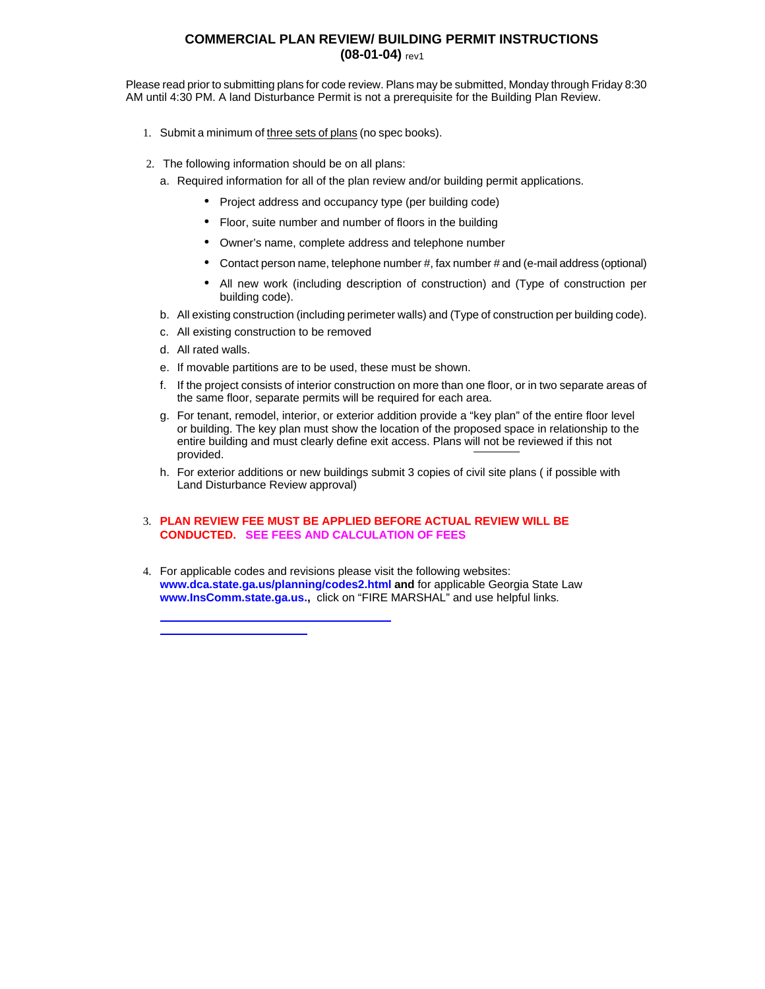## **COMMERCIAL PLAN REVIEW/ BUILDING PERMIT INSTRUCTIONS (08-01-04)** rev1

Please read prior to submitting plans for code review. Plans may be submitted, Monday through Friday 8:30 AM until 4:30 PM. A land Disturbance Permit is not a prerequisite for the Building Plan Review.

- 1. Submit a minimum of three sets of plans (no spec books).
- 2. The following information should be on all plans:
	- a. Required information for all of the plan review and/or building permit applications.
		- **·** Project address and occupancy type (per building code)
		- **·** Floor, suite number and number of floors in the building
		- **·** Owner's name, complete address and telephone number
		- **·** Contact person name, telephone number #, fax number # and (e-mail address (optional)
		- **·** All new work (including description of construction) and (Type of construction per building code).
	- b. All existing construction (including perimeter walls) and (Type of construction per building code).
	- c. All existing construction to be removed
	- d. All rated walls.
	- e. If movable partitions are to be used, these must be shown.
	- f. If the project consists of interior construction on more than one floor, or in two separate areas of the same floor, separate permits will be required for each area.
	- g. For tenant, remodel, interior, or exterior addition provide a "key plan" of the entire floor level or building. The key plan must show the location of the proposed space in relationship to the entire building and must clearly define exit access. Plans will not be reviewed if this not provided.
	- h. For exterior additions or new buildings submit 3 copies of civil site plans ( if possible with Land Disturbance Review approval)

## 3. **PLAN REVIEW FEE MUST BE APPLIED BEFORE ACTUAL REVIEW WILL BE CONDUCTED. SEE FEES AND CALCULATION OF FEES**

4. For applicable [codes and revisions please visit the following we](http://www.fultonecd.org/develop/comm-dev-fees-04.pdf)bsites: **www.dca.state.ga.us/planning/codes2.html and** for applicable Georgia State Law **www.InsComm.state.ga.us.,** click on "FIRE MARSHAL" and use helpful links.